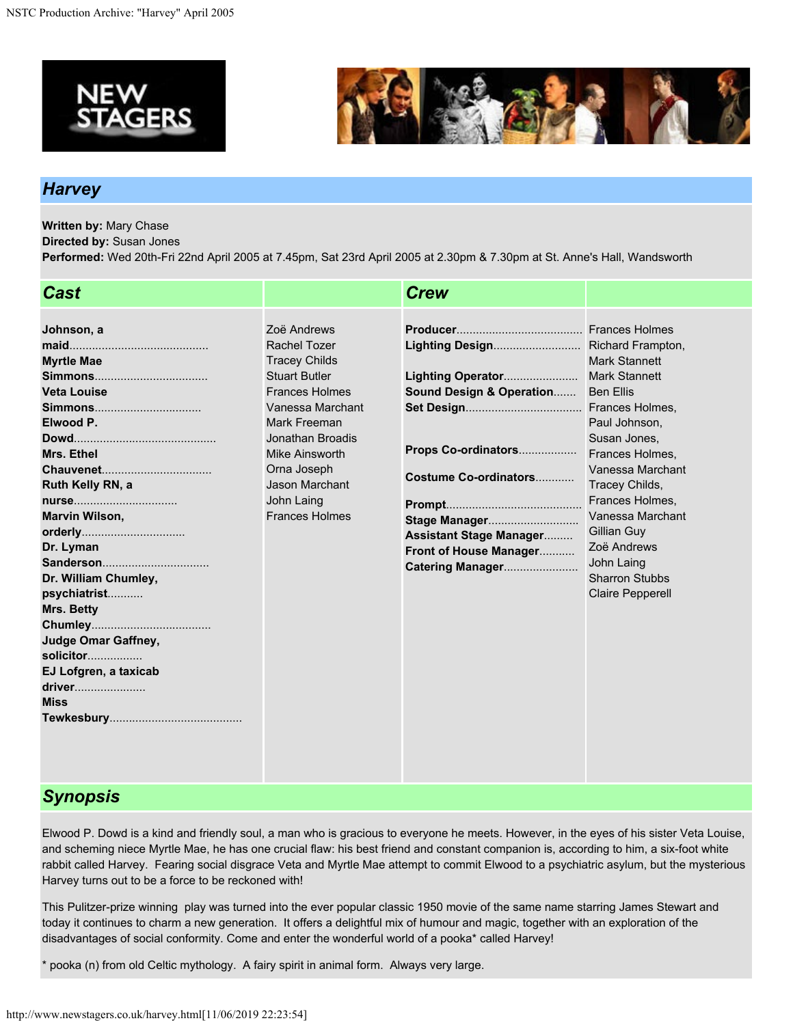



## *Harvey*

**Written by:** Mary Chase **Directed by:** Susan Jones

**Performed:** Wed 20th-Fri 22nd April 2005 at 7.45pm, Sat 23rd April 2005 at 2.30pm & 7.30pm at St. Anne's Hall, Wandsworth

| <b>Cast</b>                                                                                                                                                                                                                                                                                                    |                                                                                                                                                                                                                                                                      | <b>Crew</b>                                                                                                                                                                                                           |                                                                                                                                                                                                                                                                                  |
|----------------------------------------------------------------------------------------------------------------------------------------------------------------------------------------------------------------------------------------------------------------------------------------------------------------|----------------------------------------------------------------------------------------------------------------------------------------------------------------------------------------------------------------------------------------------------------------------|-----------------------------------------------------------------------------------------------------------------------------------------------------------------------------------------------------------------------|----------------------------------------------------------------------------------------------------------------------------------------------------------------------------------------------------------------------------------------------------------------------------------|
| Johnson, a<br><b>Myrtle Mae</b><br><b>Veta Louise</b><br>Simmons<br>Elwood P.<br><b>Mrs. Ethel</b><br>Ruth Kelly RN, a<br>nurse<br>Marvin Wilson,<br>Dr. Lyman<br>Dr. William Chumley,<br>psychiatrist<br><b>Mrs. Betty</b><br><b>Judge Omar Gaffney,</b><br>solicitor<br>EJ Lofgren, a taxicab<br><b>Miss</b> | Zoë Andrews<br><b>Rachel Tozer</b><br><b>Tracey Childs</b><br><b>Stuart Butler</b><br><b>Frances Holmes</b><br>Vanessa Marchant<br>Mark Freeman<br>Jonathan Broadis<br><b>Mike Ainsworth</b><br>Orna Joseph<br>Jason Marchant<br>John Laing<br><b>Frances Holmes</b> | Lighting Design Richard Frampton,<br>Sound Design & Operation<br>Props Co-ordinators<br>Costume Co-ordinators<br><b>Stage Manager</b><br><b>Assistant Stage Manager</b><br>Front of House Manager<br>Catering Manager | <b>Mark Stannett</b><br><b>Ben Ellis</b><br>Paul Johnson.<br>Susan Jones,<br>Frances Holmes,<br>Vanessa Marchant<br>Tracey Childs,<br>Frances Holmes,<br>Vanessa Marchant<br><b>Gillian Guy</b><br>Zoë Andrews<br>John Laing<br><b>Sharron Stubbs</b><br><b>Claire Pepperell</b> |
|                                                                                                                                                                                                                                                                                                                |                                                                                                                                                                                                                                                                      |                                                                                                                                                                                                                       |                                                                                                                                                                                                                                                                                  |

## *Synopsis*

Elwood P. Dowd is a kind and friendly soul, a man who is gracious to everyone he meets. However, in the eyes of his sister Veta Louise, and scheming niece Myrtle Mae, he has one crucial flaw: his best friend and constant companion is, according to him, a six-foot white rabbit called Harvey. Fearing social disgrace Veta and Myrtle Mae attempt to commit Elwood to a psychiatric asylum, but the mysterious Harvey turns out to be a force to be reckoned with!

This Pulitzer-prize winning play was turned into the ever popular classic 1950 movie of the same name starring James Stewart and today it continues to charm a new generation. It offers a delightful mix of humour and magic, together with an exploration of the disadvantages of social conformity. Come and enter the wonderful world of a pooka\* called Harvey!

\* pooka (n) from old Celtic mythology. A fairy spirit in animal form. Always very large.